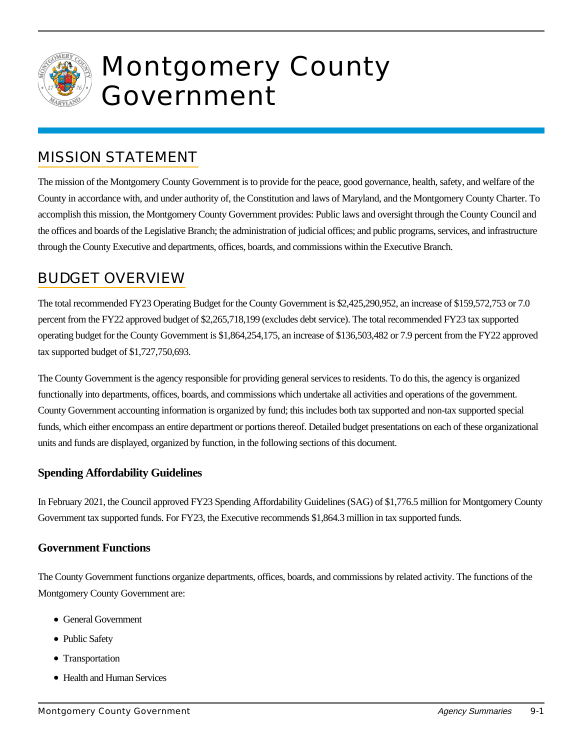

# Montgomery County Government

# MISSION STATEMENT

The mission of the Montgomery County Government is to provide for the peace, good governance, health, safety, and welfare of the County in accordance with, and under authority of, the Constitution and laws of Maryland, and the Montgomery County Charter. To accomplish this mission, the Montgomery County Government provides: Public laws and oversight through the County Council and the offices and boards of the Legislative Branch; the administration of judicial offices; and public programs, services, and infrastructure through the County Executive and departments, offices, boards, and commissions within the Executive Branch.

# BUDGET OVERVIEW

The total recommended FY23 Operating Budget for the County Government is \$2,425,290,952, an increase of \$159,572,753 or 7.0 percent from the FY22 approved budget of \$2,265,718,199 (excludes debt service). The total recommended FY23 tax supported operating budget for the County Government is \$1,864,254,175, an increase of \$136,503,482 or 7.9 percent from the FY22 approved tax supported budget of \$1,727,750,693.

The County Government is the agency responsible for providing general services to residents. To do this, the agency is organized functionally into departments, offices, boards, and commissions which undertake all activities and operations of the government. County Government accounting information is organized by fund; this includes both tax supported and non-tax supported special funds, which either encompass an entire department or portions thereof. Detailed budget presentations on each of these organizational units and funds are displayed, organized by function, in the following sections of this document.

## **Spending Affordability Guidelines**

In February 2021, the Council approved FY23 Spending Affordability Guidelines (SAG) of \$1,776.5 million for Montgomery County Government tax supported funds. For FY23, the Executive recommends \$1,864.3 million in tax supported funds.

### **Government Functions**

The County Government functions organize departments, offices, boards, and commissions by related activity. The functions of the Montgomery County Government are:

- General Government
- Public Safety
- Transportation
- Health and Human Services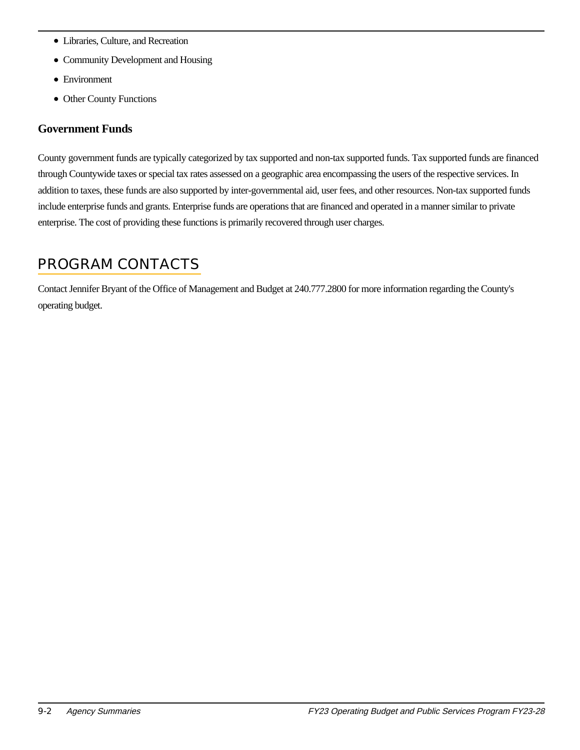- Libraries, Culture, and Recreation
- Community Development and Housing
- Environment
- Other County Functions

#### **Government Funds**

County government funds are typically categorized by tax supported and non-tax supported funds. Tax supported funds are financed through Countywide taxes or special tax rates assessed on a geographic area encompassing the users of the respective services. In addition to taxes, these funds are also supported by inter-governmental aid, user fees, and other resources. Non-tax supported funds include enterprise funds and grants. Enterprise funds are operations that are financed and operated in a manner similar to private enterprise. The cost of providing these functions is primarily recovered through user charges.

## PROGRAM CONTACTS

Contact Jennifer Bryant of the Office of Management and Budget at 240.777.2800 for more information regarding the County's operating budget.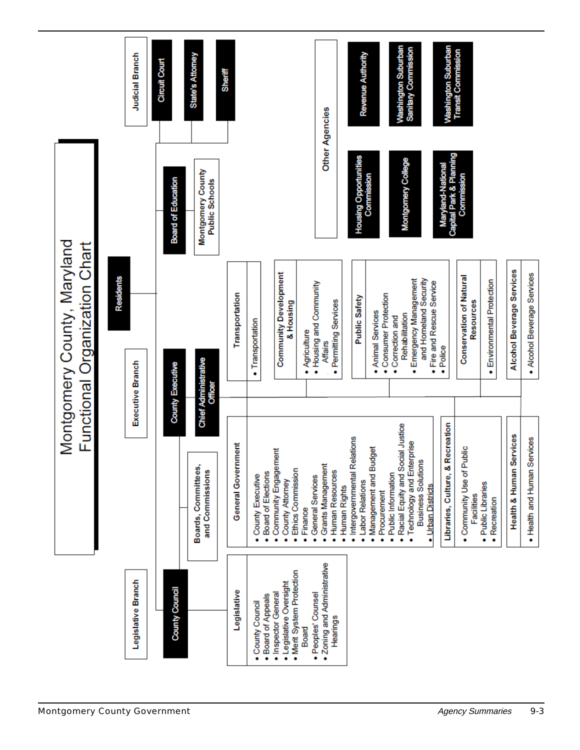